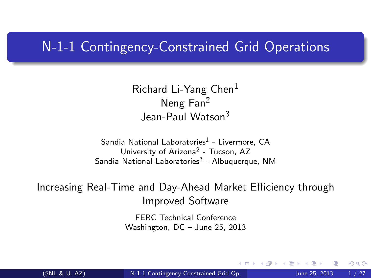#### N-1-1 Contingency-Constrained Grid Operations

Richard Li-Yang Chen<sup>1</sup> Neng Fan<sup>2</sup> Jean-Paul Watson<sup>3</sup>

Sandia National Laboratories<sup>1</sup> - Livermore, CA University of Arizona<sup>2</sup> - Tucson, AZ Sandia National Laboratories<sup>3</sup> - Albuquerque, NM

Increasing Real-Time and Day-Ahead Market Efficiency through Improved Software

> <span id="page-0-0"></span>FERC Technical Conference Washington, DC – June 25, 2013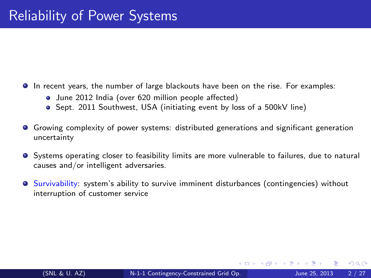- In recent years, the number of large blackouts have been on the rise. For examples:
	- June 2012 India (over 620 million people affected)
	- Sept. 2011 Southwest, USA (initiating event by loss of a 500kV line)
- Growing complexity of power systems: distributed generations and significant generation uncertainty
- **•** Systems operating closer to feasibility limits are more vulnerable to failures, due to natural causes and/or intelligent adversaries.
- **Survivability: system's ability to survive imminent disturbances (contingencies) without** interruption of customer service

4 D F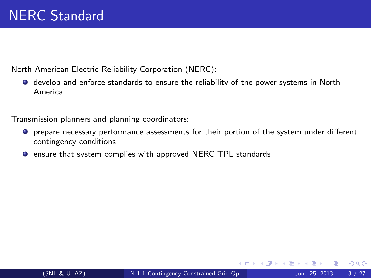North American Electric Reliability Corporation (NERC):

develop and enforce standards to ensure the reliability of the power systems in North America

Transmission planners and planning coordinators:

- prepare necessary performance assessments for their portion of the system under different contingency conditions
- **O** ensure that system complies with approved NERC TPL standards

∢ ロ ▶ . ∢ 何 ▶ . ∢ ヨ ▶

 $QQQ$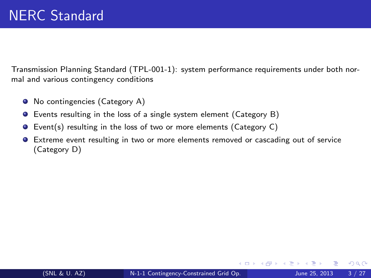Transmission Planning Standard (TPL-001-1): system performance requirements under both normal and various contingency conditions

- No contingencies (Category A)
- Events resulting in the loss of a single system element (Category B)
- Event(s) resulting in the loss of two or more elements (Category C)
- Extreme event resulting in two or more elements removed or cascading out of service (Category D)

4 D F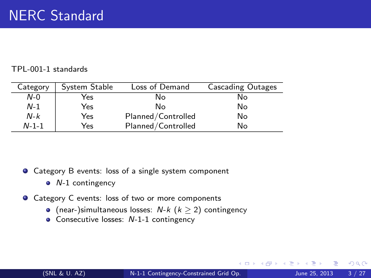#### TPL-001-1 standards

| Category    | System Stable | Loss of Demand     | <b>Cascading Outages</b> |
|-------------|---------------|--------------------|--------------------------|
| $N-0$       | Yes           | No                 | No                       |
| $N-1$       | Yes           | Nο                 | No                       |
| $N-k$       | Yes           | Planned/Controlled | No                       |
| $N - 1 - 1$ | Yes           | Planned/Controlled | No                       |

● Category B events: loss of a single system component

- $\bullet$  N-1 contingency
- **O** Category C events: loss of two or more components
	- (near-)simultaneous losses:  $N-k$  ( $k \ge 2$ ) contingency
	- Consecutive losses: N-1-1 contingency

4 D F

 $QQQ$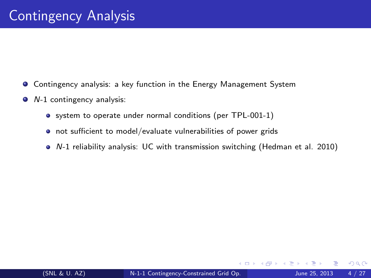- **Contingency analysis: a key function in the Energy Management System**
- *N*-1 contingency analysis:
	- system to operate under normal conditions (per TPL-001-1)
	- o not sufficient to model/evaluate vulnerabilities of power grids
	- N-1 reliability analysis: UC with transmission switching (Hedman et al. 2010)

 $\leftarrow$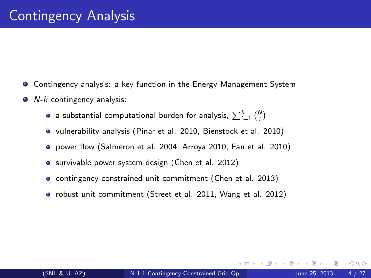- **Contingency analysis: a key function in the Energy Management System**
- $\bullet$  N-k contingency analysis:
	- a substantial computational burden for analysis,  $\sum_{i=1}^k {N \choose i}$
	- vulnerability analysis (Pinar et al. 2010, Bienstock et al. 2010)
	- power flow (Salmeron et al. 2004, Arroya 2010, Fan et al. 2010)
	- **•** survivable power system design (Chen et al. 2012)
	- contingency-constrained unit commitment (Chen et al. 2013)
	- robust unit commitment (Street et al. 2011, Wang et al. 2012)

つひひ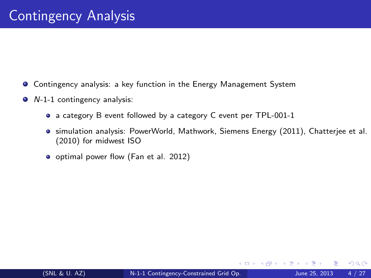- **Contingency analysis: a key function in the Energy Management System**
- *N*-1-1 contingency analysis:
	- a category B event followed by a category C event per TPL-001-1
	- simulation analysis: PowerWorld, Mathwork, Siemens Energy (2011), Chatterjee et al. (2010) for midwest ISO
	- o optimal power flow (Fan et al. 2012)

4 **D** F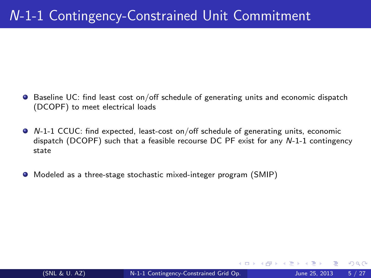### N-1-1 Contingency-Constrained Unit Commitment

- $\bullet$  Baseline UC: find least cost on/off schedule of generating units and economic dispatch (DCOPF) to meet electrical loads
- N-1-1 CCUC: find expected, least-cost on/off schedule of generating units, economic dispatch (DCOPF) such that a feasible recourse DC PF exist for any N-1-1 contingency state
- Modeled as a three-stage stochastic mixed-integer program (SMIP)

4 D F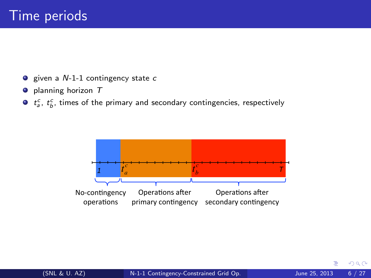- $\bullet$  given a N-1-1 contingency state c
- $\bullet$  planning horizon  $T$
- $t_a^c$ ,  $t_b^c$ , times of the primary and secondary contingencies, respectively

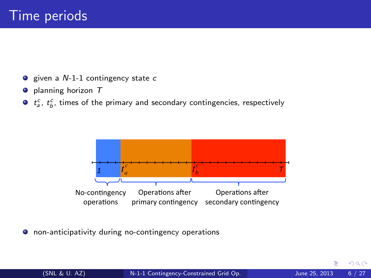- $\bullet$  given a  $N-1-1$  contingency state c
- $\bullet$  planning horizon  $T$
- $t_a^c$ ,  $t_b^c$ , times of the primary and secondary contingencies, respectively



 $\bullet$  non-anticipativity during no-contingency operations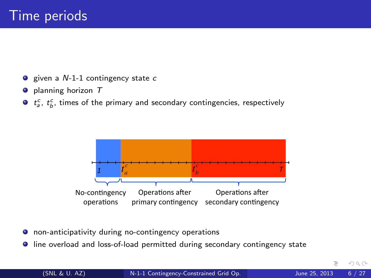- $\bullet$  given a  $N-1-1$  contingency state c
- $\bullet$  planning horizon  $T$
- $t_a^c$ ,  $t_b^c$ , times of the primary and secondary contingencies, respectively



- non-anticipativity during no-contingency operations
- line overload and loss-of-load permitted during secondary contingency state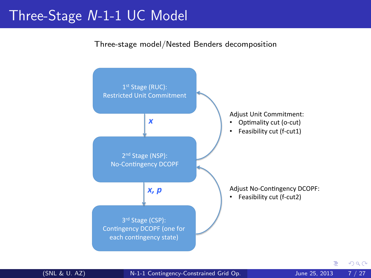#### Three-Stage N-1-1 UC Model

Three-stage model/Nested Benders decomposition



(SNL & U. AZ) [N-1-1 Contingency-Constrained Grid Op.](#page-0-0) June 25, 2013 7 / 27

 $299$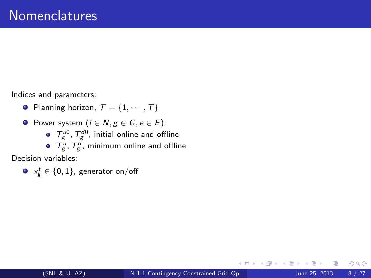Indices and parameters:

- Planning horizon,  $\mathcal{T} = \{1, \cdots, \mathcal{T}\}\$
- **•** Power system  $(i \in N, g \in G, e \in E)$ :
	- $T_{g}^{\mu 0}$ ,  $T_{g}^{d0}$ , initial online and offline
	- $T_g^u$ ,  $T_g^d$ , minimum online and offline

Decision variables:

 $\mathsf{x}_\mathsf{g}^t \in \{0,1\}$ , generator on/off

4 **D** F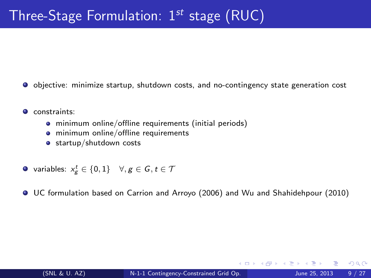- objective: minimize startup, shutdown costs, and no-contingency state generation cost
- **O** constraints:
	- minimum online/offline requirements (initial periods)
	- **•** minimum online/offline requirements
	- **o** startup/shutdown costs
- variables:  $x_g^t \in \{0,1\} \quad \forall, g \in \mathcal{G}, t \in \mathcal{T}$
- UC formulation based on Carrion and Arroyo (2006) and Wu and Shahidehpour (2010)

4 D F

 $QQ$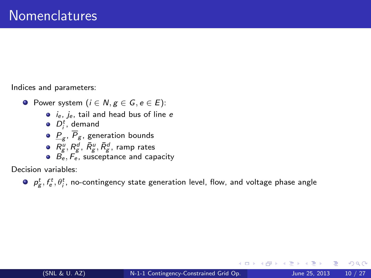Indices and parameters:

- **•** Power system  $(i \in N, g \in G, e \in E)$ :
	- $\bullet$  *i<sub>e</sub>*, *j<sub>e</sub>*, tail and head bus of line *e*
	- $D_i^t$ , demand
	- $\frac{\textit{P}}{\textit{g}}$ ,  $\textit{P}_{\textit{g}}$ , generation bounds
	- $R_{\rm g}^u, R_{\rm g}^d, \, \bar{R}_{\rm g}^u, \bar{R}_{\rm g}^d$ , ramp rates
	- $\bullet$   $\overrightarrow{B_e}, \overrightarrow{F_e}$ , susceptance and capacity

Decision variables:

 $p_{g}^{t}, f_{e}^{t}, \theta_{j}^{t}$ , no-contingency state generation level, flow, and voltage phase angle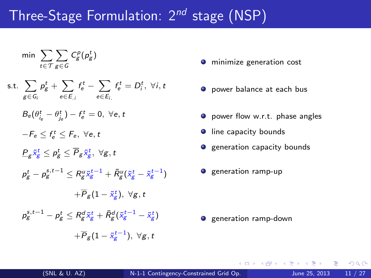### Three-Stage Formulation:  $2^{nd}$  stage (NSP)

$$
\min~\sum_{t \in \mathcal{T}} \sum_{g \in \mathcal{G}} C^p_g(p_g^t)
$$

s.t.  $\sum$ g∈G<sup>i</sup>  $\rho_{\rm g}^t + \sum$ e∈E.<sup>i</sup>  $f^t_e-\sum$ e∈Ei.  $f_e^t = D_i^t$ ,  $\forall i, t$ 

$$
B_e(\theta_{i_e}^t-\theta_{j_e}^t)-f_e^t=0, \; \forall e,t
$$

- $-F_e \leq f_e^t \leq F_e, \ \forall e, t$
- $\frac{\mathit{P}_g\tilde{\mathit{x}}_g^t}{\mathit{g}} \leq \mathit{P}_g\leq \overline{\mathit{P}}_g\tilde{\mathit{x}}_g^t, \,\, \forall g,t$
- $\rho^t_g \rho^{s,t-1}_g \leq R^{u}_g \tilde{\mathsf{x}}^{t-1}_g + \bar{R}^{u}_g (\tilde{\mathsf{x}}^{t}_g \tilde{\mathsf{x}}^{t-1}_g)$ 
	- $+{\overline P}_{\cal g}(1-{\tilde x}^t_{\cal g}),\,\,\forall {\cal g},\,t$
- $\rho_{\rm g}^{\rm s,t-1} \rho_{\rm g}^t \leq R_{\rm g}^d \tilde{\mathsf{x}}_{\rm g}^t + \bar{R}_{\rm g}^d (\tilde{\mathsf{x}}_{\rm g}^{t-1} \tilde{\mathsf{x}}_{\rm g}^t)$ 
	- $+\overline{P}_{\cal B}(1-\tilde{\mathsf{x}}_{\cal B}^{t-1}),\,\,\forall \mathsf{g},t$
- **O** minimize generation cost
- **O** power balance at each bus
- **O** power flow w.r.t. phase angles
- **I** line capacity bounds
- $\bullet$  generation capacity bounds
- $\bullet$  generation ramp-up

 $\bullet$  generation ramp-down

 $\Omega$ 

イ何 トイヨ トイヨ トーヨー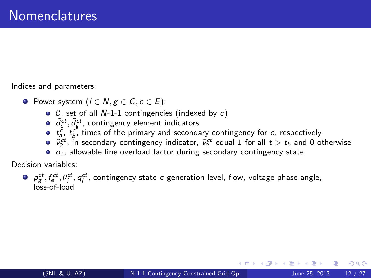Indices and parameters:

- **O** Power system ( $i \in N$ ,  $g \in G$ ,  $e \in E$ ):
	- $\circ$  C, set of all N-1-1 contingencies (indexed by c)
	- $\tilde{d}^{ct}_{e}, \tilde{d}^{ct}_{g}$ , contingency element indicators
	- $t_a^c$ ,  $t_b^c$ , times of the primary and secondary contingency for c, respectively
	- $\tilde{v}_2^{ct}$ , in secondary contingency indicator,  $\tilde{v}_2^{ct}$  equal 1 for all  $t > t_b$  and 0 otherwise
	- $\bullet$   $o_e$ , allowable line overload factor during secondary contingency state

Decision variables:

 $p_{g}^{ct}, f_{e}^{ct}, \theta_{i}^{ct}, q_{i}^{ct}$ , contingency state  $c$  generation level, flow, voltage phase angle, loss-of-load

 $200$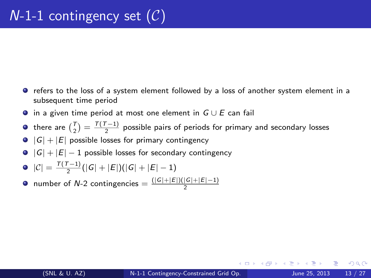- refers to the loss of a system element followed by a loss of another system element in a subsequent time period
- $\bullet$  in a given time period at most one element in  $G \cup E$  can fail
- there are  $\binom{T}{2} = \frac{T(T-1)}{2}$  possible pairs of periods for primary and secondary losses
- $\bullet$   $|G| + |E|$  possible losses for primary contingency
- $|G| + |E| 1$  possible losses for secondary contingency
- $|C| = \frac{T(T-1)}{2}(|G| + |E|)(|G| + |E| 1)$
- number of N-2 contingencies  $=\frac{(|G|+|E|)(|G|+|E|-1)}{2}$

 $QQQ$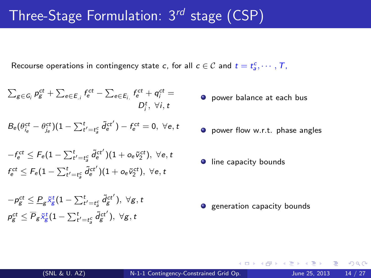## Three-Stage Formulation:  $3^{rd}$  stage (CSP)

Recourse operations in contingency state c, for all  $c \in \mathcal{C}$  and  $t = t_a^c, \cdots, T_a$ 

$$
\sum_{g \in G_i} p_g^{ct} + \sum_{e \in E_i} f_e^{ct} - \sum_{e \in E_i} f_e^{ct} + q_i^{ct} = D_i^t, \forall i, t
$$

$$
B_{\text{e}}(\theta_{i_{\text{e}}}^{ct} - \theta_{j_{\text{e}}}^{ct})(1 - \sum_{t'=t_{\text{e}}^{c}}^{t} \tilde{d}_{\text{e}}^{ct'}) - f_{\text{e}}^{ct} = 0, \ \forall \text{e}, t
$$

$$
\begin{aligned} &-f_e^{ct} \leq F_e(1-\sum_{t'=t_g^c}^t \tilde{d}_e^{ct'})(1+o_e\tilde{\nu}_2^{ct}), \,\,\forall e,t\\ &f_e^{ct} \leq F_e(1-\sum_{t'=t_g^c}^t \tilde{d}_e^{ct'})(1+o_e\tilde{\nu}_2^{ct}), \,\,\forall e,t \end{aligned}
$$

$$
\begin{aligned} &-\rho_{g}^{ct}\leq\underline{P}_{g}\tilde{\mathbf{x}}_{g}^{t}(1-\sum_{t^{\prime}=t_{g}^{c}}^{t}\tilde{d}_{g}^{ct^{\prime}}),\;\forall g,t\\ &\rho_{g}^{ct}\leq\overline{P}_{g}\tilde{\mathbf{x}}_{g}^{t}(1-\sum_{t^{\prime}=t_{g}^{c}}^{t}\tilde{d}_{g}^{ct^{\prime}}),\;\forall g,t \end{aligned}
$$

- **O** power balance at each bus
- **O** power flow w.r.t. phase angles
- **I** line capacity bounds

 $\bullet$  generation capacity bounds

4 0 8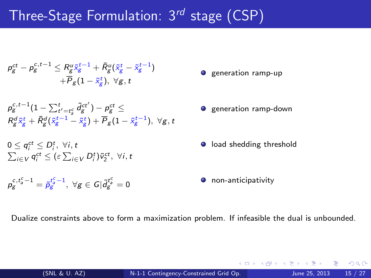# Three-Stage Formulation:  $3^{rd}$  stage (CSP)

$$
\begin{aligned} \rho_{g}^{ct}-\rho_{g}^{c,t-1} &\leq R_{g}^{u}\tilde{\mathbf{x}}_{g}^{t-1}+\bar{R}_{g}^{u}(\tilde{\mathbf{x}}_{g}^{t}-\tilde{\mathbf{x}}_{g}^{t-1})\\ &+\overline{P}_{g}(1-\tilde{\mathbf{x}}_{g}^{t}),\ \forall g,t\end{aligned}
$$

$$
\begin{array}{l} \rho_{\mathcal{G}}^{c,t-1}(1-\sum_{t'=t_{\mathcal{G}}^{t}}^{t} \tilde{d}_{\mathcal{G}}^{ct'})-\rho_{\mathcal{G}}^{ct} \leq \\ \mathcal{R}_{\mathcal{G}}^{d} \tilde{\mathsf{x}}_{\mathcal{G}}^{t}+\bar{\mathsf{R}}^{d}_{\mathcal{G}}(\tilde{\mathsf{x}}_{\mathcal{G}}^{t-1}-\tilde{\mathsf{x}}_{\mathcal{G}}^{t})+\overline{\mathsf{P}}_{\mathcal{G}}(1-\tilde{\mathsf{x}}_{\mathcal{G}}^{t-1}), \; \forall \mathcal{G}, t \end{array}
$$

$$
0 \leq q_i^{ct} \leq D_i^t, \ \forall i, t
$$
  

$$
\sum_{i \in V} q_i^{ct} \leq (\varepsilon \sum_{i \in V} D_i^t) \tilde{v}_2^{ct}, \ \forall i, t
$$

$$
\rho_g^{c,t_a^c-1}=\tilde{\rho}_g^{t_a^c-1},\ \forall g\in G|\tilde{d}_g^{t_a^c}=0
$$

- $\bullet$  generation ramp-up
- $\bullet$  generation ramp-down
- **O** load shedding threshold
- **O** non-anticipativity

4 **D** F

Dualize constraints above to form a maximization problem. If infeasible the dual is unbounded.

 $200$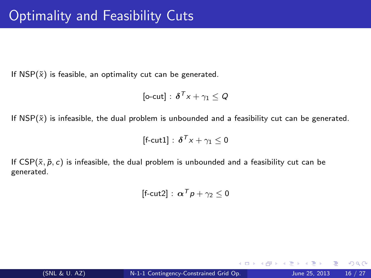If  $NSP(\tilde{x})$  is feasible, an optimality cut can be generated.

$$
[\text{o-cut}] : \, \boldsymbol{\delta}^T \boldsymbol{x} + \gamma_1 \leq Q
$$

If  $NSP(\tilde{x})$  is infeasible, the dual problem is unbounded and a feasibility cut can be generated.

$$
[f\text{-cut1}] \,:\, \boldsymbol{\delta}^{\mathcal{T}} \boldsymbol{x} + \gamma_1 \leq 0
$$

If  $CSP(\tilde{x}, \tilde{p}, c)$  is infeasible, the dual problem is unbounded and a feasibility cut can be generated.

$$
[f\text{-cut2}] : \, \boldsymbol{\alpha}^T \boldsymbol{p} + \gamma_2 \leq 0
$$

4 D F

 $299$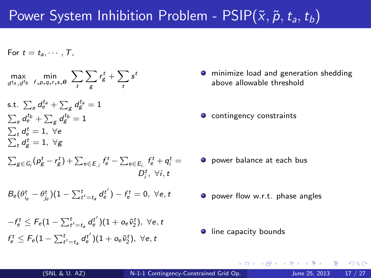## Power System Inhibition Problem -  $PSIP(\tilde{x}, \tilde{p}, t_a, t_b)$

For  $t = t_1, \cdots, T$ .

$$
\max_{d^{t_a}, d^{t_b}} \min_{f, p, q, r, s, \theta} \sum_{t} \sum_{g} r_g^t + \sum_{t} s^t
$$

- s.t.  $\sum_{e}d_{e}^{t_{a}}+\sum_{g}d_{g}^{t_{a}}=1$  $\sum_{e}d^{t_{b}}_{e}+\sum_{g}d^{t_{b}}_{g}=1$  $\sum_t d_e^t = 1, \; \forall e$  $\sum_t d^t_g = 1, \; \forall g$
- $\sum_{g\in G_i} (p_g^t r_g^t) + \sum_{e\in E_{.i}} f_e^t \sum_{e\in E_i} f_e^t + q_i^t =$  $D_i^t$ ,  $\forall i$ , t
- $B_{e}(\theta_{i_{e}}^{t}-\theta_{j_{e}}^{t})(1-\sum_{t'=t_{a}}^{t}d_{e}^{t'})-f_{e}^{t}=0,\,\,\forall e,\,t$
- $-f_e^t \leq F_e(1-\sum_{t'=t_a}^t d_e^{t'})(1+o_e\tilde v_2^t),\,\,\forall e,t$  $f^t_e \leq \mathit{F}_e (1 - \sum_{t' = t_a}^{t} d^{{t'}}_e )(1 + o_e \tilde{v}^t_2), \,\, \forall e,t$
- **O** minimize load and generation shedding above allowable threshold
- $\bullet$  contingency constraints

- **O** power balance at each bus
- **O** power flow w.r.t. phase angles
- **•** line capacity bounds

 $200$ 

←何 ▶ イヨ ▶ イヨ ▶ │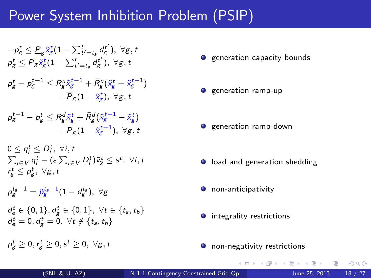### Power System Inhibition Problem (PSIP)

$$
\begin{aligned} & -\rho_g^t \leq \underline{P}_g \tilde{\mathbf{x}}_g^t (1 - \sum_{t'=t_g}^{t} d_g^{t'}), ~\forall g, t \\ & \rho_g^t \leq \overline{P}_g \tilde{\mathbf{x}}_g^t (1 - \sum_{t'=t_g}^{t} d_g^{t'}), ~\forall g, t \\ & \rho_g^t - \rho_g^{t-1} \leq R_g^u \tilde{\mathbf{x}}_g^{t-1} + \bar{R}_g^u (\tilde{\mathbf{x}}_g^t - \tilde{\mathbf{x}}_g^{t-1}) \\ & + \overline{P}_g (1 - \tilde{\mathbf{x}}_g^t), ~\forall g, t \\ & \rho_g^{t-1} - \rho_g^t \leq R_g^d \tilde{\mathbf{x}}_g^t + \bar{R}_g^d (\tilde{\mathbf{x}}_g^{t-1} - \tilde{\mathbf{x}}_g^t) \\ & + \overline{P}_g (1 - \tilde{\mathbf{x}}_g^{t-1}), ~\forall g, t \\ & 0 \leq q_i^t \leq D_i^t, ~\forall i, t \\ & \sum_{i \in V} q_i^t - (\varepsilon \sum_{i \in V} D_i^t) \tilde{\mathbf{v}}_2^t \leq s^t, ~\forall i, t \\ & r_g^t \leq r_g^t, ~\forall g, t \\ & \rho_g^{t_3-1} = \tilde{\rho}_g^{t_3-1} (1 - d_g^{t_3}), ~\forall g \\ & d_e^t \in \{0, 1\}, d_g^t \in \{0, 1\}, ~\forall t \in \{t_a, t_b\} \\ & d_e^t = 0, d_g^t = 0, ~\forall t \notin \{t_a, t_b\} \end{aligned}
$$

- **o** generation capacity bounds
- $\bullet$  generation ramp-up
- **o** generation ramp-down
- **•** load and generation shedding
- $\bullet$  non-anticipativity
- **•** integrality restrictions
- **O** non-negativity restrictions

イロト イ母 トイヨ トイヨト

 $\rho_S^t \geq 0, r_{\stackrel{\scriptstyle g}{\scriptstyle g}}^t \geq 0, s^t \geq 0, \,\, \forall {\scriptstyle g},t$ 

 $QQQ$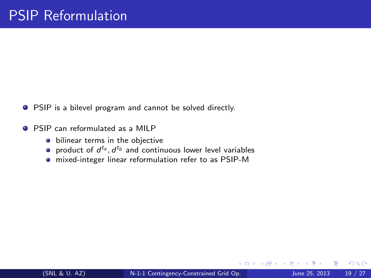- **•** PSIP is a bilevel program and cannot be solved directly.
- **PSIP** can reformulated as a MILP
	- **•** bilinear terms in the objective
	- product of  $d^{t_a}, d^{t_b}$  and continuous lower level variables
	- mixed-integer linear reformulation refer to as PSIP-M

4 **D** F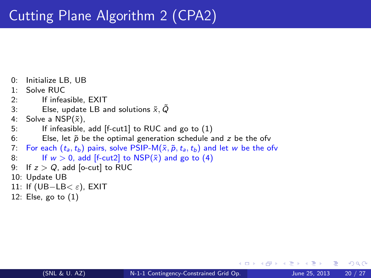```
0: Initialize LB, UB
1: Solve RUC
2: If infeasible, EXIT<br>3: Else undate LB au
          Else, update LB and solutions \tilde{x}, \tilde{Q}4: Solve a NSP(\tilde{x}),
5: If infeasible, add [f-cut1] to RUC and go to (1)
6: Else, let \tilde{p} be the optimal generation schedule and z be the ofv
7: For each (t_a, t_b) pairs, solve PSIP-M(\tilde{x}, \tilde{p}, t_a, t_b) and let w be the ofv<br>8: If w > 0, add If-cut2l to NSP(\tilde{x}) and go to (4)
          If w > 0, add [f-cut2] to NSP(\tilde{x}) and go to (4)
9: If z > Q, add [o-cut] to RUC
10: Update UB
11: If (UB-LB< \varepsilon), EXIT
12: Else, go to (1)
```
4 D F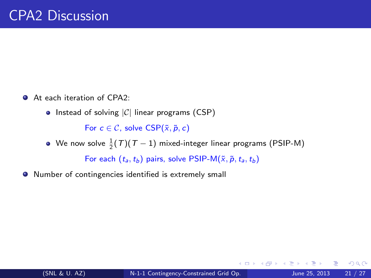- At each iteration of CPA2:
	- $\bullet$  Instead of solving  $|C|$  linear programs (CSP)

For  $c \in \mathcal{C}$ , solve  $CSP(\tilde{x}, \tilde{p}, c)$ 

We now solve  $\frac{1}{2}(\mathcal{T})(\mathcal{T}-1)$  mixed-integer linear programs (PSIP-M)

For each  $(t_a, t_b)$  pairs, solve PSIP-M $(\tilde{x}, \tilde{p}, t_a, t_b)$ 

Number of contingencies identified is extremely small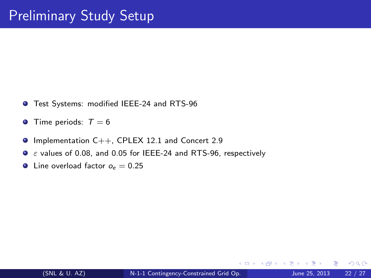- **O** Test Systems: modified IEEE-24 and RTS-96
- **Time periods:**  $T = 6$
- $\bullet$  Implementation C++, CPLEX 12.1 and Concert 2.9
- $\bullet$   $\varepsilon$  values of 0.08, and 0.05 for IEEE-24 and RTS-96, respectively
- **O** Line overload factor  $o_e = 0.25$

4 **D** F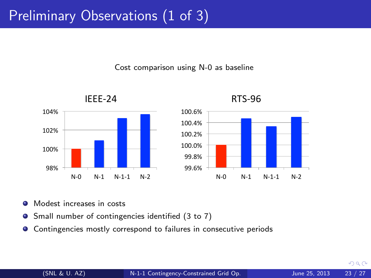## Preliminary Observations (1 of 3)

Cost comparison using N-0 as baseline





RTS-96 

- **O** Modest increases in costs
- Small number of contingencies identified (3 to 7)
- Contingencies mostly correspond to failures in consecutive periods  $\bullet$

 $QQ$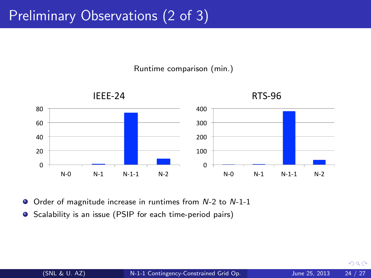## Preliminary Observations (2 of 3)

Runtime comparison (min.)



Order of magnitude increase in runtimes from N-2 to N-1-1

● Scalability is an issue (PSIP for each time-period pairs)

 $QQ$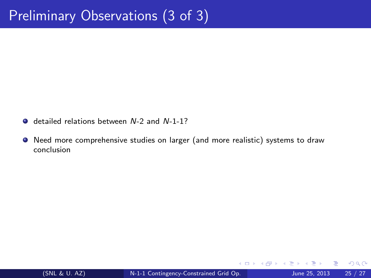- detailed relations between N-2 and N-1-1?
- Need more comprehensive studies on larger (and more realistic) systems to draw conclusion

4 0 8

 $299$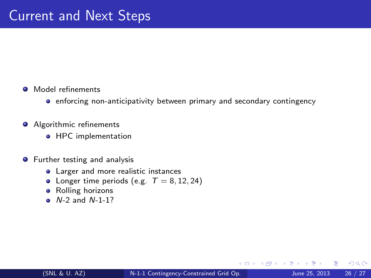#### **O** Model refinements

- **•** enforcing non-anticipativity between primary and secondary contingency
- **Algorithmic refinements** 
	- **•** HPC implementation
- **•** Further testing and analysis
	- **•** Larger and more realistic instances
	- Longer time periods (e.g.  $T = 8, 12, 24$ )
	- Rolling horizons
	- $\bullet$  N-2 and N-1-1?

4 **D** F